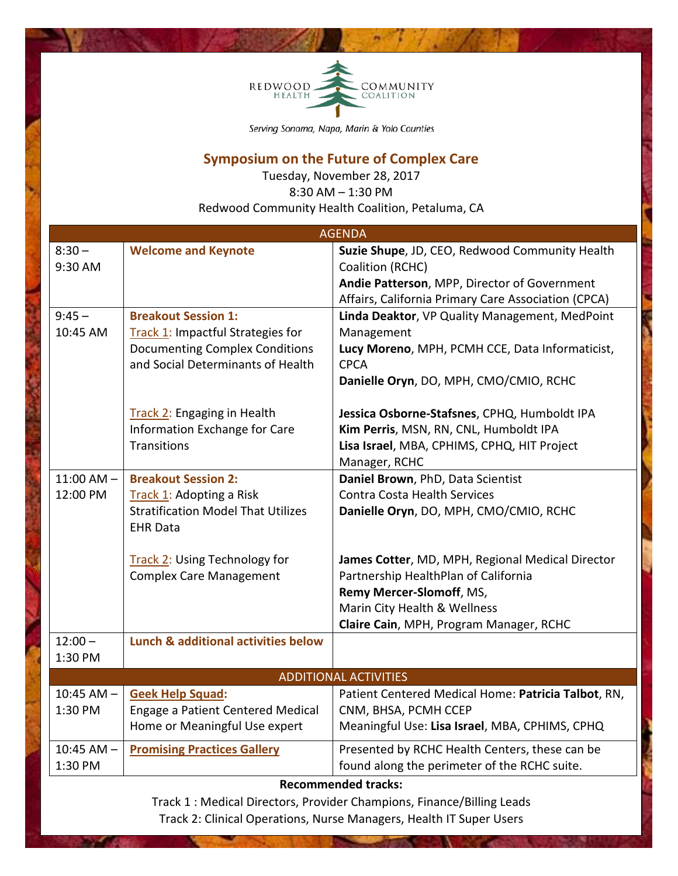

Serving Sonoma, Napa, Marin & Yolo Counties

## **Symposium on the Future of Complex Care**

Tuesday, November 28, 2017 8:30 AM – 1:30 PM Redwood Community Health Coalition, Petaluma, CA

| <b>AGENDA</b>                                                                                                                     |                                                                            |                                                                |  |
|-----------------------------------------------------------------------------------------------------------------------------------|----------------------------------------------------------------------------|----------------------------------------------------------------|--|
| $8:30 -$                                                                                                                          | <b>Welcome and Keynote</b>                                                 | Suzie Shupe, JD, CEO, Redwood Community Health                 |  |
| 9:30 AM                                                                                                                           |                                                                            | Coalition (RCHC)                                               |  |
|                                                                                                                                   |                                                                            | Andie Patterson, MPP, Director of Government                   |  |
|                                                                                                                                   |                                                                            | Affairs, California Primary Care Association (CPCA)            |  |
| $9:45 -$                                                                                                                          | <b>Breakout Session 1:</b>                                                 | Linda Deaktor, VP Quality Management, MedPoint                 |  |
| 10:45 AM                                                                                                                          | Track 1: Impactful Strategies for                                          | Management                                                     |  |
|                                                                                                                                   | <b>Documenting Complex Conditions</b><br>and Social Determinants of Health | Lucy Moreno, MPH, PCMH CCE, Data Informaticist,<br><b>CPCA</b> |  |
|                                                                                                                                   |                                                                            | Danielle Oryn, DO, MPH, CMO/CMIO, RCHC                         |  |
|                                                                                                                                   | Track 2: Engaging in Health                                                | Jessica Osborne-Stafsnes, CPHQ, Humboldt IPA                   |  |
|                                                                                                                                   | Information Exchange for Care                                              | Kim Perris, MSN, RN, CNL, Humboldt IPA                         |  |
|                                                                                                                                   | <b>Transitions</b>                                                         | Lisa Israel, MBA, CPHIMS, CPHQ, HIT Project<br>Manager, RCHC   |  |
| $11:00$ AM $-$                                                                                                                    | <b>Breakout Session 2:</b>                                                 | Daniel Brown, PhD, Data Scientist                              |  |
| 12:00 PM                                                                                                                          | Track 1: Adopting a Risk                                                   | <b>Contra Costa Health Services</b>                            |  |
|                                                                                                                                   | <b>Stratification Model That Utilizes</b><br><b>EHR Data</b>               | Danielle Oryn, DO, MPH, CMO/CMIO, RCHC                         |  |
|                                                                                                                                   | <b>Track 2: Using Technology for</b>                                       | James Cotter, MD, MPH, Regional Medical Director               |  |
|                                                                                                                                   | <b>Complex Care Management</b>                                             | Partnership HealthPlan of California                           |  |
|                                                                                                                                   |                                                                            | Remy Mercer-Slomoff, MS,                                       |  |
|                                                                                                                                   |                                                                            | Marin City Health & Wellness                                   |  |
|                                                                                                                                   |                                                                            | Claire Cain, MPH, Program Manager, RCHC                        |  |
| $12:00 -$                                                                                                                         | Lunch & additional activities below                                        |                                                                |  |
| 1:30 PM                                                                                                                           |                                                                            |                                                                |  |
| <b>ADDITIONAL ACTIVITIES</b>                                                                                                      |                                                                            |                                                                |  |
| $10:45$ AM $-$                                                                                                                    | <b>Geek Help Squad:</b>                                                    | Patient Centered Medical Home: Patricia Talbot, RN,            |  |
| 1:30 PM                                                                                                                           | Engage a Patient Centered Medical                                          | CNM, BHSA, PCMH CCEP                                           |  |
|                                                                                                                                   | Home or Meaningful Use expert                                              | Meaningful Use: Lisa Israel, MBA, CPHIMS, CPHQ                 |  |
| $10:45$ AM $-$                                                                                                                    | <b>Promising Practices Gallery</b>                                         | Presented by RCHC Health Centers, these can be                 |  |
| 1:30 PM                                                                                                                           |                                                                            | found along the perimeter of the RCHC suite.                   |  |
| <b>Recommended tracks:</b><br>Booth the collection of the control fields of the collection<br>ومستحا والمستقيل والمستقيل والمسامي |                                                                            |                                                                |  |

Track 1 : Medical Directors, Provider Champions, Finance/Billing Leads Track 2: Clinical Operations, Nurse Managers, Health IT Super Users